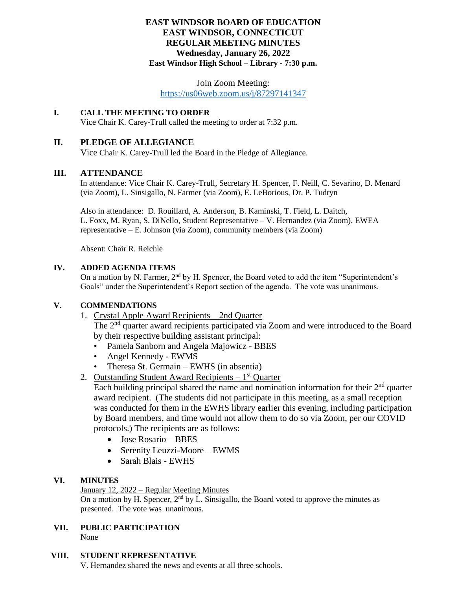# **EAST WINDSOR BOARD OF EDUCATION EAST WINDSOR, CONNECTICUT REGULAR MEETING MINUTES Wednesday, January 26, 2022 East Windsor High School – Library - 7:30 p.m.**

# Join Zoom Meeting:

<https://us06web.zoom.us/j/87297141347>

# **I. CALL THE MEETING TO ORDER**

Vice Chair K. Carey-Trull called the meeting to order at 7:32 p.m.

# **II. PLEDGE OF ALLEGIANCE**

Vice Chair K. Carey-Trull led the Board in the Pledge of Allegiance.

# **III. ATTENDANCE**

In attendance: Vice Chair K. Carey-Trull, Secretary H. Spencer, F. Neill, C. Sevarino, D. Menard (via Zoom), L. Sinsigallo, N. Farmer (via Zoom), E. LeBorious, Dr. P. Tudryn

Also in attendance: D. Rouillard, A. Anderson, B. Kaminski, T. Field, L. Daitch, L. Foxx, M. Ryan, S. DiNello, Student Representative – V. Hernandez (via Zoom), EWEA representative – E. Johnson (via Zoom), community members (via Zoom)

Absent: Chair R. Reichle

# **IV. ADDED AGENDA ITEMS**

On a motion by N. Farmer,  $2<sup>nd</sup>$  by H. Spencer, the Board voted to add the item "Superintendent's Goals" under the Superintendent's Report section of the agenda. The vote was unanimous.

# **V. COMMENDATIONS**

1. Crystal Apple Award Recipients – 2nd Quarter

The 2<sup>nd</sup> quarter award recipients participated via Zoom and were introduced to the Board by their respective building assistant principal:

- Pamela Sanborn and Angela Majowicz BBES
- Angel Kennedy EWMS
- Theresa St. Germain EWHS (in absentia)

2. Outstanding Student Award Recipients - 1<sup>st</sup> Quarter

Each building principal shared the name and nomination information for their  $2<sup>nd</sup>$  quarter award recipient. (The students did not participate in this meeting, as a small reception was conducted for them in the EWHS library earlier this evening, including participation by Board members, and time would not allow them to do so via Zoom, per our COVID protocols.) The recipients are as follows:

- Jose Rosario BBES
- Serenity Leuzzi-Moore EWMS
- Sarah Blais EWHS

# **VI. MINUTES**

# January 12, 2022 – Regular Meeting Minutes

On a motion by H. Spencer,  $2<sup>nd</sup>$  by L. Sinsigallo, the Board voted to approve the minutes as presented. The vote was unanimous.

**VII. PUBLIC PARTICIPATION** None

#### **VIII. STUDENT REPRESENTATIVE**

V. Hernandez shared the news and events at all three schools.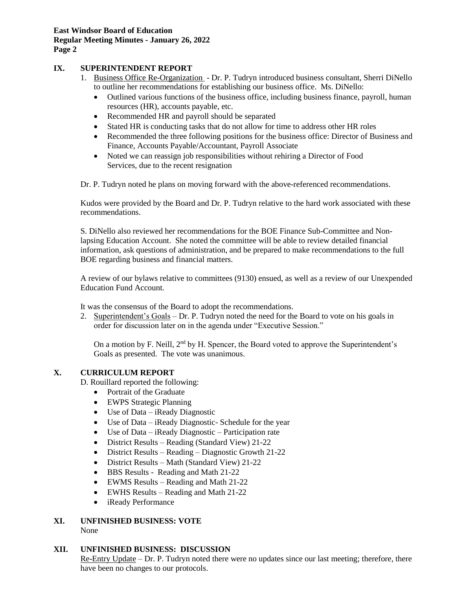# **IX. SUPERINTENDENT REPORT**

- 1. Business Office Re-Organization Dr. P. Tudryn introduced business consultant, Sherri DiNello to outline her recommendations for establishing our business office. Ms. DiNello:
	- Outlined various functions of the business office, including business finance, payroll, human resources (HR), accounts payable, etc.
	- Recommended HR and payroll should be separated
	- Stated HR is conducting tasks that do not allow for time to address other HR roles
	- Recommended the three following positions for the business office: Director of Business and Finance, Accounts Payable/Accountant, Payroll Associate
	- Noted we can reassign job responsibilities without rehiring a Director of Food Services, due to the recent resignation

Dr. P. Tudryn noted he plans on moving forward with the above-referenced recommendations.

Kudos were provided by the Board and Dr. P. Tudryn relative to the hard work associated with these recommendations.

S. DiNello also reviewed her recommendations for the BOE Finance Sub-Committee and Nonlapsing Education Account. She noted the committee will be able to review detailed financial information, ask questions of administration, and be prepared to make recommendations to the full BOE regarding business and financial matters.

A review of our bylaws relative to committees (9130) ensued, as well as a review of our Unexpended Education Fund Account.

It was the consensus of the Board to adopt the recommendations.

2. Superintendent's Goals – Dr. P. Tudryn noted the need for the Board to vote on his goals in order for discussion later on in the agenda under "Executive Session."

On a motion by F. Neill,  $2<sup>nd</sup>$  by H. Spencer, the Board voted to approve the Superintendent's Goals as presented. The vote was unanimous.

# **X. CURRICULUM REPORT**

D. Rouillard reported the following:

- Portrait of the Graduate
- EWPS Strategic Planning
- Use of Data iReady Diagnostic
- Use of Data iReady Diagnostic- Schedule for the year
- Use of Data iReady Diagnostic Participation rate
- District Results Reading (Standard View) 21-22
- District Results Reading Diagnostic Growth 21-22
- District Results Math (Standard View) 21-22
- BBS Results Reading and Math 21-22
- EWMS Results Reading and Math 21-22
- EWHS Results Reading and Math 21-22
- iReady Performance
- **XI. UNFINISHED BUSINESS: VOTE** None

# **XII. UNFINISHED BUSINESS: DISCUSSION**

Re-Entry Update – Dr. P. Tudryn noted there were no updates since our last meeting; therefore, there have been no changes to our protocols.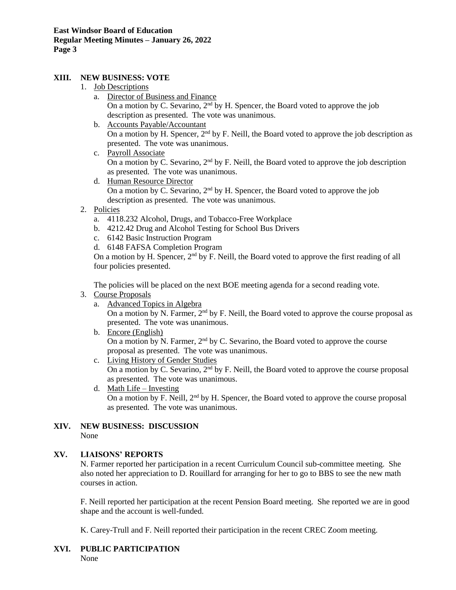# **XIII. NEW BUSINESS: VOTE**

- 1. Job Descriptions
	- a. Director of Business and Finance On a motion by C. Sevarino,  $2<sup>nd</sup>$  by H. Spencer, the Board voted to approve the job description as presented. The vote was unanimous.
	- b. Accounts Payable/Accountant On a motion by H. Spencer,  $2<sup>nd</sup>$  by F. Neill, the Board voted to approve the job description as presented. The vote was unanimous.
	- c. Payroll Associate On a motion by C. Sevarino,  $2<sup>nd</sup>$  by F. Neill, the Board voted to approve the job description as presented. The vote was unanimous.
	- d. Human Resource Director On a motion by C. Sevarino,  $2<sup>nd</sup>$  by H. Spencer, the Board voted to approve the job description as presented. The vote was unanimous.
- 2. Policies
	- a. 4118.232 Alcohol, Drugs, and Tobacco-Free Workplace
	- b. 4212.42 Drug and Alcohol Testing for School Bus Drivers
	- c. 6142 Basic Instruction Program
	- d. 6148 FAFSA Completion Program

On a motion by H. Spencer,  $2<sup>nd</sup>$  by F. Neill, the Board voted to approve the first reading of all four policies presented.

The policies will be placed on the next BOE meeting agenda for a second reading vote.

- 3. Course Proposals
	- a. Advanced Topics in Algebra

On a motion by N. Farmer,  $2<sup>nd</sup>$  by F. Neill, the Board voted to approve the course proposal as presented. The vote was unanimous.

- b. Encore (English) On a motion by N. Farmer,  $2<sup>nd</sup>$  by C. Sevarino, the Board voted to approve the course proposal as presented. The vote was unanimous.
- c. Living History of Gender Studies

On a motion by C. Sevarino,  $2<sup>nd</sup>$  by F. Neill, the Board voted to approve the course proposal as presented. The vote was unanimous.

d. Math Life – Investing On a motion by F. Neill,  $2<sup>nd</sup>$  by H. Spencer, the Board voted to approve the course proposal as presented. The vote was unanimous.

#### **XIV. NEW BUSINESS: DISCUSSION** None

# **XV. LIAISONS' REPORTS**

N. Farmer reported her participation in a recent Curriculum Council sub-committee meeting. She also noted her appreciation to D. Rouillard for arranging for her to go to BBS to see the new math courses in action.

F. Neill reported her participation at the recent Pension Board meeting. She reported we are in good shape and the account is well-funded.

K. Carey-Trull and F. Neill reported their participation in the recent CREC Zoom meeting.

# **XVI. PUBLIC PARTICIPATION**

None